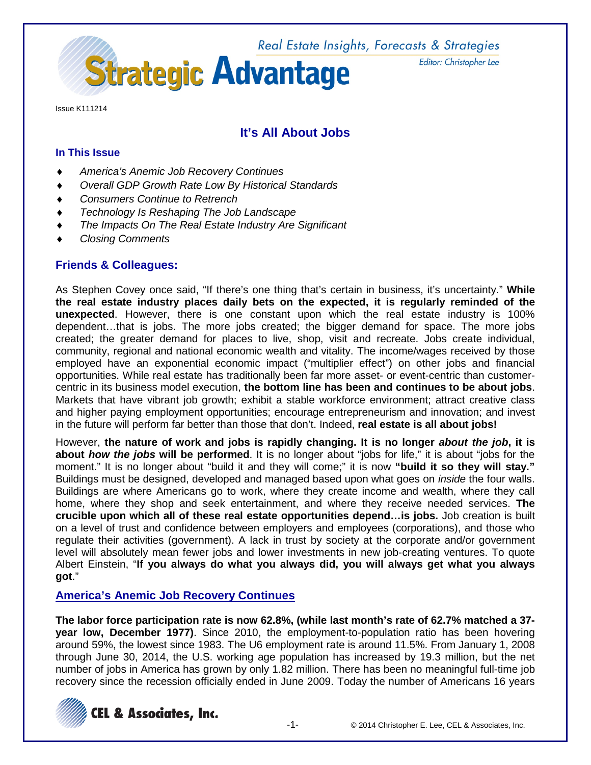

Issue K111214

# **It's All About Jobs**

### **In This Issue**

- ♦ *America's Anemic Job Recovery Continues*
- ♦ *Overall GDP Growth Rate Low By Historical Standards*
- **Consumers Continue to Retrench**
- **Technology Is Reshaping The Job Landscape**
- **The Impacts On The Real Estate Industry Are Significant**
- ♦ *Closing Comments*

# **Friends & Colleagues:**

As Stephen Covey once said, "If there's one thing that's certain in business, it's uncertainty." **While the real estate industry places daily bets on the expected, it is regularly reminded of the unexpected**. However, there is one constant upon which the real estate industry is 100% dependent…that is jobs. The more jobs created; the bigger demand for space. The more jobs created; the greater demand for places to live, shop, visit and recreate. Jobs create individual, community, regional and national economic wealth and vitality. The income/wages received by those employed have an exponential economic impact ("multiplier effect") on other jobs and financial opportunities. While real estate has traditionally been far more asset- or event-centric than customercentric in its business model execution, **the bottom line has been and continues to be about jobs**. Markets that have vibrant job growth; exhibit a stable workforce environment; attract creative class and higher paying employment opportunities; encourage entrepreneurism and innovation; and invest in the future will perform far better than those that don't. Indeed, **real estate is all about jobs!**

However, **the nature of work and jobs is rapidly changing. It is no longer** *about the job***, it is about** *how the jobs* **will be performed**. It is no longer about "jobs for life," it is about "jobs for the moment." It is no longer about "build it and they will come;" it is now **"build it so they will stay."** Buildings must be designed, developed and managed based upon what goes on *inside* the four walls. Buildings are where Americans go to work, where they create income and wealth, where they call home, where they shop and seek entertainment, and where they receive needed services. **The crucible upon which all of these real estate opportunities depend…is jobs.** Job creation is built on a level of trust and confidence between employers and employees (corporations), and those who regulate their activities (government). A lack in trust by society at the corporate and/or government level will absolutely mean fewer jobs and lower investments in new job-creating ventures. To quote Albert Einstein, "**If you always do what you always did, you will always get what you always got**."

## **America's Anemic Job Recovery Continues**

**The labor force participation rate is now 62.8%, (while last month's rate of 62.7% matched a 37 year low, December 1977)**. Since 2010, the employment-to-population ratio has been hovering around 59%, the lowest since 1983. The U6 employment rate is around 11.5%. From January 1, 2008 through June 30, 2014, the U.S. working age population has increased by 19.3 million, but the net number of jobs in America has grown by only 1.82 million. There has been no meaningful full-time job recovery since the recession officially ended in June 2009. Today the number of Americans 16 years



Editor: Christopher Lee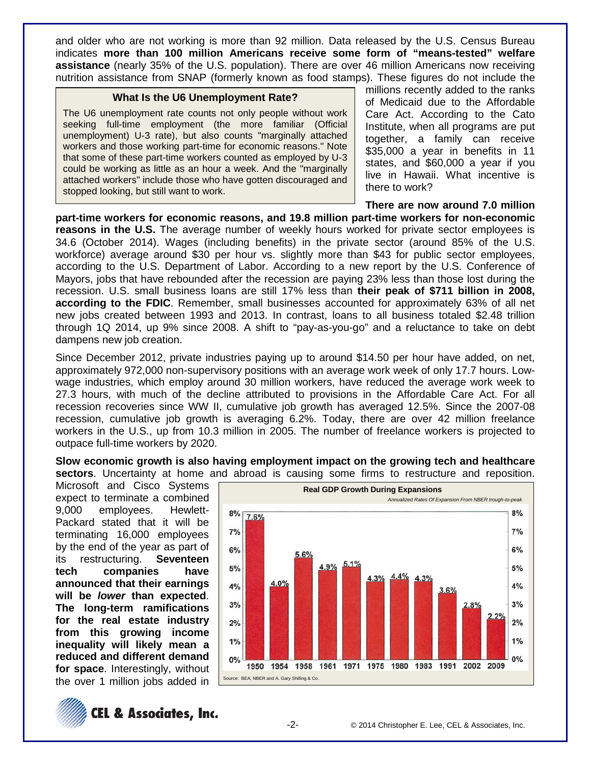and older who are not working is more than 92 million. Data released by the U.S. Census Bureau indicates **more than 100 million Americans receive some form of "means-tested" welfare assistance** (nearly 35% of the U.S. population). There are over 46 million Americans now receiving nutrition assistance from SNAP (formerly known as food stamps). These figures do not include the

### **What Is the U6 Unemployment Rate?**

The U6 unemployment rate counts not only people without work seeking full-time employment (the more familiar (Official unemployment) U-3 rate), but also counts "marginally attached workers and those working part-time for economic reasons." Note that some of these part-time workers counted as employed by U-3 could be working as little as an hour a week. And the "marginally attached workers" include those who have gotten discouraged and stopped looking, but still want to work.

millions recently added to the ranks of Medicaid due to the Affordable Care Act. According to the Cato Institute, when all programs are put together, a family can receive \$35,000 a year in benefits in 11 states, and \$60,000 a year if you live in Hawaii. What incentive is there to work?

### **There are now around 7.0 million**

**part-time workers for economic reasons, and 19.8 million part-time workers for non-economic reasons in the U.S.** The average number of weekly hours worked for private sector employees is 34.6 (October 2014). Wages (including benefits) in the private sector (around 85% of the U.S. workforce) average around \$30 per hour vs. slightly more than \$43 for public sector employees, according to the U.S. Department of Labor. According to a new report by the U.S. Conference of Mayors, jobs that have rebounded after the recession are paying 23% less than those lost during the recession. U.S. small business loans are still 17% less than **their peak of \$711 billion in 2008, according to the FDIC**. Remember, small businesses accounted for approximately 63% of all net new jobs created between 1993 and 2013. In contrast, loans to all business totaled \$2.48 trillion through 1Q 2014, up 9% since 2008. A shift to "pay-as-you-go" and a reluctance to take on debt dampens new job creation.

Since December 2012, private industries paying up to around \$14.50 per hour have added, on net, approximately 972,000 non-supervisory positions with an average work week of only 17.7 hours. Lowwage industries, which employ around 30 million workers, have reduced the average work week to 27.3 hours, with much of the decline attributed to provisions in the Affordable Care Act. For all recession recoveries since WW II, cumulative job growth has averaged 12.5%. Since the 2007-08 recession, cumulative job growth is averaging 6.2%. Today, there are over 42 million freelance workers in the U.S., up from 10.3 million in 2005. The number of freelance workers is projected to outpace full-time workers by 2020.

**Slow economic growth is also having employment impact on the growing tech and healthcare** 

Microsoft and Cisco Systems expect to terminate a combined 9,000 employees. Hewlett-Packard stated that it will be terminating 16,000 employees by the end of the year as part of its restructuring. **Seventeen tech companies have announced that their earnings will be** *lower* **than expected**. **The long-term ramifications for the real estate industry from this growing income inequality will likely mean a reduced and different demand for space**. Interestingly, without the over 1 million jobs added in



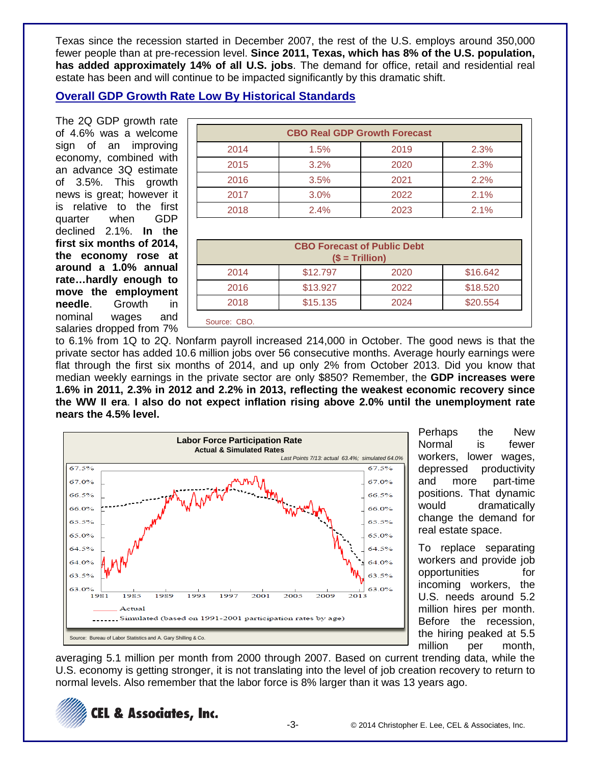Texas since the recession started in December 2007, the rest of the U.S. employs around 350,000 fewer people than at pre-recession level. **Since 2011, Texas, which has 8% of the U.S. population, has added approximately 14% of all U.S. jobs**. The demand for office, retail and residential real estate has been and will continue to be impacted significantly by this dramatic shift.

# **Overall GDP Growth Rate Low By Historical Standards**

The 2Q GDP growth rate of 4.6% was a welcome sign of an improving economy, combined with an advance 3Q estimate of 3.5%. This growth news is great; however it is relative to the first quarter when GDP declined 2.1%. **In** t**he first six months of 2014, the economy rose at around a 1.0% annual rate…hardly enough to move the employment needle**. Growth in nominal wages and salaries dropped from 7%

| <b>CBO Real GDP Growth Forecast</b> |      |      |      |
|-------------------------------------|------|------|------|
| 2014                                | 1.5% | 2019 | 2.3% |
| 2015                                | 3.2% | 2020 | 2.3% |
| 2016                                | 3.5% | 2021 | 2.2% |
| 2017                                | 3.0% | 2022 | 2.1% |
| 2018                                | 2.4% | 2023 | 2.1% |

| <b>CBO Forecast of Public Debt</b><br>$($ = Trillion)$ |          |      |          |
|--------------------------------------------------------|----------|------|----------|
| 2014                                                   | \$12.797 | 2020 | \$16.642 |
| 2016                                                   | \$13.927 | 2022 | \$18.520 |
| 2018                                                   | \$15.135 | 2024 | \$20.554 |
| Source: CBO.                                           |          |      |          |

to 6.1% from 1Q to 2Q. Nonfarm payroll increased 214,000 in October. The good news is that the private sector has added 10.6 million jobs over 56 consecutive months. Average hourly earnings were flat through the first six months of 2014, and up only 2% from October 2013. Did you know that median weekly earnings in the private sector are only \$850? Remember, the **GDP increases were 1.6% in 2011, 2.3% in 2012 and 2.2% in 2013, reflecting the weakest economic recovery since the WW II era**. **I also do not expect inflation rising above 2.0% until the unemployment rate nears the 4.5% level.**



Perhaps the New Normal is fewer workers, lower wages, depressed productivity and more part-time positions. That dynamic would dramatically change the demand for real estate space.

To replace separating workers and provide job opportunities for incoming workers, the U.S. needs around 5.2 million hires per month. Before the recession, the hiring peaked at 5.5 million per month,

averaging 5.1 million per month from 2000 through 2007. Based on current trending data, while the U.S. economy is getting stronger, it is not translating into the level of job creation recovery to return to normal levels. Also remember that the labor force is 8% larger than it was 13 years ago.

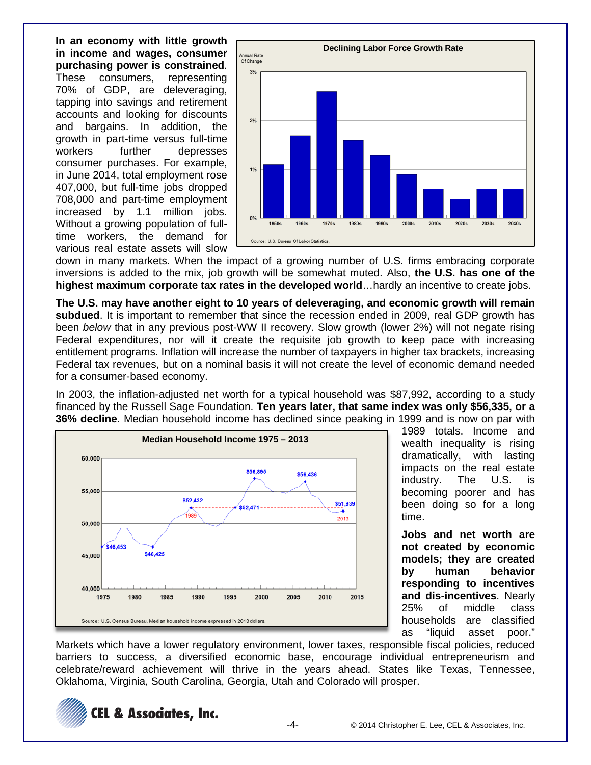**In an economy with little growth in income and wages, consumer purchasing power is constrained**. These consumers, representing 70% of GDP, are deleveraging, tapping into savings and retirement accounts and looking for discounts and bargains. In addition, the growth in part-time versus full-time workers further depresses consumer purchases. For example, in June 2014, total employment rose 407,000, but full-time jobs dropped 708,000 and part-time employment increased by 1.1 million jobs. Without a growing population of fulltime workers, the demand for various real estate assets will slow



down in many markets. When the impact of a growing number of U.S. firms embracing corporate inversions is added to the mix, job growth will be somewhat muted. Also, **the U.S. has one of the highest maximum corporate tax rates in the developed world**…hardly an incentive to create jobs.

**The U.S. may have another eight to 10 years of deleveraging, and economic growth will remain subdued**. It is important to remember that since the recession ended in 2009, real GDP growth has been *below* that in any previous post-WW II recovery. Slow growth (lower 2%) will not negate rising Federal expenditures, nor will it create the requisite job growth to keep pace with increasing entitlement programs. Inflation will increase the number of taxpayers in higher tax brackets, increasing Federal tax revenues, but on a nominal basis it will not create the level of economic demand needed for a consumer-based economy.

In 2003, the inflation-adjusted net worth for a typical household was \$87,992, according to a study financed by the Russell Sage Foundation. **Ten years later, that same index was only \$56,335, or a 36% decline**. Median household income has declined since peaking in 1999 and is now on par with



1989 totals. Income and wealth inequality is rising dramatically, with lasting impacts on the real estate industry. The U.S. is becoming poorer and has been doing so for a long time.

**Jobs and net worth are not created by economic models; they are created by human behavior responding to incentives and dis-incentives**. Nearly 25% of middle class households are classified as "liquid asset poor."

Markets which have a lower regulatory environment, lower taxes, responsible fiscal policies, reduced barriers to success, a diversified economic base, encourage individual entrepreneurism and celebrate/reward achievement will thrive in the years ahead. States like Texas, Tennessee, Oklahoma, Virginia, South Carolina, Georgia, Utah and Colorado will prosper.

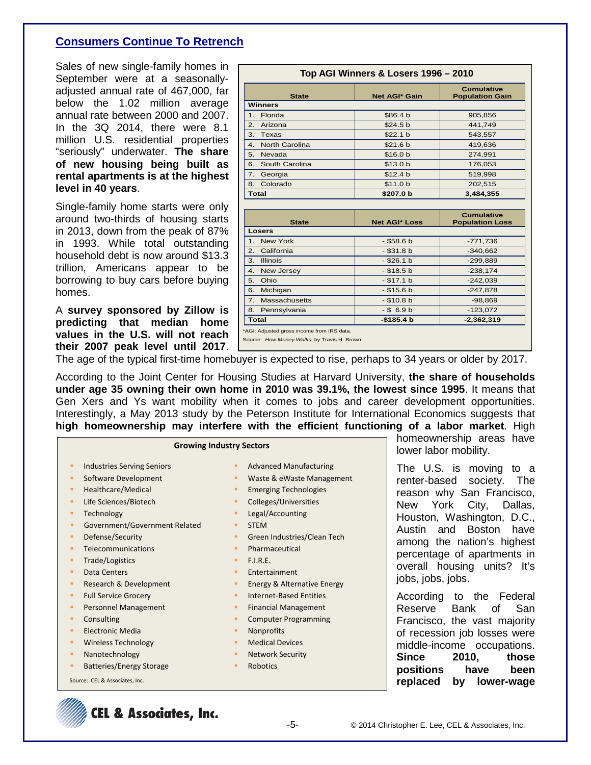# **Consumers Continue To Retrench**

Sales of new single-family homes in September were at a seasonallyadjusted annual rate of 467,000, far below the 1.02 million average annual rate between 2000 and 2007. In the 3Q 2014, there were 8.1 million U.S. residential properties "seriously" underwater. **The share of new housing being built as rental apartments is at the highest level in 40 years**.

Single-family home starts were only around two-thirds of housing starts in 2013, down from the peak of 87% in 1993. While total outstanding household debt is now around \$13.3 trillion, Americans appear to be borrowing to buy cars before buying homes.

A **survey sponsored by Zillow is predicting that median home values in the U.S. will not reach their 2007 peak level until 2017**.

|                             | Top AGI Winners & Losers 1996 - 2010 |                                             |
|-----------------------------|--------------------------------------|---------------------------------------------|
| <b>State</b>                | <b>Net AGI* Gain</b>                 | <b>Cumulative</b><br><b>Population Gain</b> |
| <b>Winners</b>              |                                      |                                             |
| Florida<br>1.               | \$86.4 b                             | 905,856                                     |
| Arizona<br>2.               | \$24.5 b                             | 441,749                                     |
| 3.<br>Texas                 | \$22.1 b                             | 543,557                                     |
| <b>North Carolina</b><br>4. | \$21.6 b                             | 419,636                                     |
| Nevada<br>5.                | \$16.0 <sub>b</sub>                  | 274,991                                     |
| South Carolina<br>6.        | \$13.0 <sub>b</sub>                  | 176,053                                     |
| Georgia<br>7.               | \$12.4 b                             | 519,998                                     |
| Colorado<br>8.              | \$11.0 b                             | 202,515                                     |
| <b>Total</b>                | \$207.0 b                            | 3,484,355                                   |
|                             |                                      |                                             |
| <b>State</b>                | <b>Net AGI* Loss</b>                 | <b>Cumulative</b><br><b>Population Loss</b> |
| Losers                      |                                      |                                             |
| 1.<br><b>New York</b>       | $-$ \$58.6 b                         | $-771,736$                                  |
| California<br>2.            | $-$ \$31.8 b                         | $-340,662$                                  |
| 3.<br><b>Illinois</b>       | $-$ \$26.1 b                         | $-299,889$                                  |
| 4.<br>New Jersey            | $-$ \$18.5 b                         | $-238.174$                                  |
| Ohio<br>5.                  | $- $17.1 b$                          | $-242,039$                                  |
| 6.<br>Michigan              | $-$ \$15.6 b                         | $-247.878$                                  |

7. Massachusetts | -\$10.8 b | -98,869 **8. Pennsylvania** | - \$ 6.9 b | -123,072 **Total -\$185.4 b -2,362,319**

The age of the typical first-time homebuyer is expected to rise, perhaps to 34 years or older by 2017.

\*AGI: Adjusted gross income from IRS data. Source: *How Money Walks*, by Travis H. Brown

According to the Joint Center for Housing Studies at Harvard University, **the share of households under age 35 owning their own home in 2010 was 39.1%, the lowest since 1995**. It means that Gen Xers and Ys want mobility when it comes to jobs and career development opportunities. Interestingly, a May 2013 study by the Peterson Institute for International Economics suggests that **high homeownership may interfere with the efficient functioning of a labor market**. High

|   | <b>Growing Industry Sectors</b>   |   |                               |
|---|-----------------------------------|---|-------------------------------|
| п | <b>Industries Serving Seniors</b> | п | <b>Advanced Manufacturing</b> |
| ٠ | Software Development              | ٠ | Waste & eWaste Management     |
| п | Healthcare/Medical                | ٠ | <b>Emerging Technologies</b>  |
| п | Life Sciences/Biotech             | ٠ | Colleges/Universities         |
| ٠ | Technology                        | ٠ | Legal/Accounting              |
| п | Government/Government Related     | ٠ | <b>STEM</b>                   |
| ٠ | Defense/Security                  | п | Green Industries/Clean Tech   |
| п | Telecommunications                | п | Pharmaceutical                |
| ٠ | Trade/Logistics                   | п | F.I.R.F.                      |
| п | Data Centers                      | ٠ | Entertainment                 |
| ٠ | Research & Development            | ٠ | Energy & Alternative Energy   |
| ٠ | <b>Full Service Grocery</b>       | п | Internet-Based Entities       |
| п | <b>Personnel Management</b>       | ٠ | <b>Financial Management</b>   |
| п | Consulting                        | п | <b>Computer Programming</b>   |
| п | <b>Electronic Media</b>           | ٠ | <b>Nonprofits</b>             |
| ٠ | <b>Wireless Technology</b>        | ٠ | <b>Medical Devices</b>        |
| ٠ | Nanotechnology                    | ٠ | <b>Network Security</b>       |
| п | <b>Batteries/Energy Storage</b>   | п | Robotics                      |
|   | Source: CEL & Associates, Inc.    |   |                               |

homeownership areas have lower labor mobility.

The U.S. is moving to a renter-based society. The reason why San Francisco, New York City, Dallas, Houston, Washington, D.C., Austin and Boston have among the nation's highest percentage of apartments in overall housing units? It's jobs, jobs, jobs.

According to the Federal Reserve Bank of San Francisco, the vast majority of recession job losses were middle-income occupations. **Since 2010, those positions have been replaced by lower-wage** 

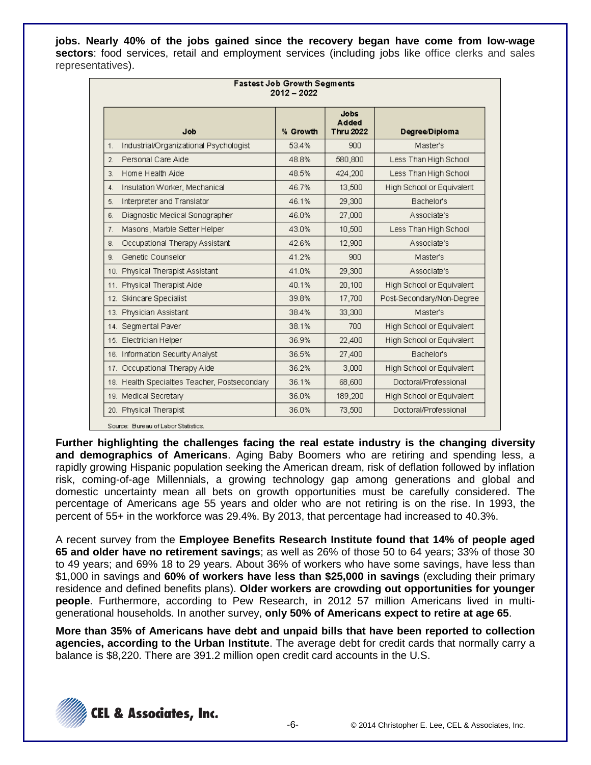**jobs. Nearly 40% of the jobs gained since the recovery began have come from low-wage sectors**: food services, retail and employment services (including jobs like office clerks and sales representatives).

| <b>Fastest Job Growth Segments</b><br>$2012 - 2022$ |                                               |          |                                          |                           |
|-----------------------------------------------------|-----------------------------------------------|----------|------------------------------------------|---------------------------|
|                                                     | dob                                           | % Growth | <b>Jobs</b><br>Added<br><b>Thru 2022</b> | Degree/Diploma            |
| 1.                                                  | Industrial/Organizational Psychologist        | 53.4%    | 900                                      | <b>Master's</b>           |
| 2.                                                  | Personal Care Aide                            | 48.8%    | 580,800                                  | Less Than High School     |
| 3.                                                  | Home Health Aide                              | 48.5%    | 424,200                                  | Less Than High School     |
| 4.                                                  | Insulation Worker, Mechanical                 | 46.7%    | 13,500                                   | High School or Equivalent |
| 5.                                                  | Interpreter and Translator                    | 46.1%    | 29,300                                   | Bachelor's                |
| 6.                                                  | Diagnostic Medical Sonographer                | 46.0%    | 27,000                                   | Associate's               |
| 7.                                                  | Masons, Marble Setter Helper                  | 43.0%    | 10,500                                   | Less Than High School     |
| 8.                                                  | Occupational Therapy Assistant                | 42.6%    | 12,900                                   | Associate's               |
| 9.                                                  | Genetic Counselor                             | 41.2%    | 900 <sub>1</sub>                         | Master's                  |
|                                                     | 10. Physical Therapist Assistant              | 41.0%    | 29,300                                   | Associate's               |
|                                                     | 11. Physical Therapist Aide                   | 40.1%    | 20,100                                   | High School or Equivalent |
|                                                     | 12. Skincare Specialist                       | 39.8%    | 17,700                                   | Post-Secondary/Non-Degree |
|                                                     | 13. Physician Assistant                       | 38.4%    | 33,300                                   | <b>Master's</b>           |
|                                                     | 14. Segmental Paver                           | 38.1%    | 700                                      | High School or Equivalent |
|                                                     | 15. Electrician Helper                        | 36.9%    | 22,400                                   | High School or Equivalent |
|                                                     | 16. Information Security Analyst              | 36.5%    | 27,400                                   | <b>Bachelor's</b>         |
|                                                     | 17. Occupational Therapy Aide                 | 36.2%    | 3,000                                    | High School or Equivalent |
|                                                     | 18. Health Specialties Teacher, Postsecondary | 36.1%    | 68,600                                   | Doctoral/Professional     |
|                                                     | 19. Medical Secretary                         | 36.0%    | 189,200                                  | High School or Equivalent |
|                                                     | 20. Physical Therapist                        | 36.0%    | 73,500                                   | Doctoral/Professional     |

**Further highlighting the challenges facing the real estate industry is the changing diversity and demographics of Americans**. Aging Baby Boomers who are retiring and spending less, a rapidly growing Hispanic population seeking the American dream, risk of deflation followed by inflation risk, coming-of-age Millennials, a growing technology gap among generations and global and domestic uncertainty mean all bets on growth opportunities must be carefully considered. The percentage of Americans age 55 years and older who are not retiring is on the rise. In 1993, the percent of 55+ in the workforce was 29.4%. By 2013, that percentage had increased to 40.3%.

A recent survey from the **Employee Benefits Research Institute found that 14% of people aged 65 and older have no retirement savings**; as well as 26% of those 50 to 64 years; 33% of those 30 to 49 years; and 69% 18 to 29 years. About 36% of workers who have some savings, have less than \$1,000 in savings and **60% of workers have less than \$25,000 in savings** (excluding their primary residence and defined benefits plans). **Older workers are crowding out opportunities for younger people**. Furthermore, according to Pew Research, in 2012 57 million Americans lived in multigenerational households. In another survey, **only 50% of Americans expect to retire at age 65**.

**More than 35% of Americans have debt and unpaid bills that have been reported to collection agencies, according to the Urban Institute**. The average debt for credit cards that normally carry a balance is \$8,220. There are 391.2 million open credit card accounts in the U.S.

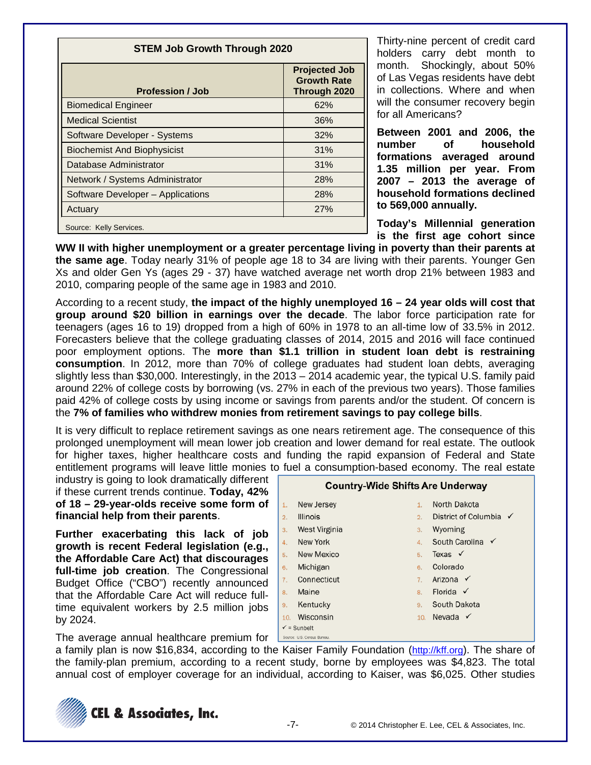| <b>STEM Job Growth Through 2020</b> |                                                            |  |
|-------------------------------------|------------------------------------------------------------|--|
| <b>Profession / Job</b>             | <b>Projected Job</b><br><b>Growth Rate</b><br>Through 2020 |  |
| <b>Biomedical Engineer</b>          | 62%                                                        |  |
| <b>Medical Scientist</b>            | 36%                                                        |  |
| Software Developer - Systems        | 32%                                                        |  |
| <b>Biochemist And Biophysicist</b>  | 31%                                                        |  |
| Database Administrator              | 31%                                                        |  |
| Network / Systems Administrator     | 28%                                                        |  |
| Software Developer - Applications   | 28%                                                        |  |
| Actuary                             | 27%                                                        |  |
| Source: Kelly Services.             |                                                            |  |

Thirty-nine percent of credit card holders carry debt month to month. Shockingly, about 50% of Las Vegas residents have debt in collections. Where and when will the consumer recovery begin for all Americans?

**Between 2001 and 2006, the number of household formations averaged around 1.35 million per year. From 2007 – 2013 the average of household formations declined to 569,000 annually.**

**Today's Millennial generation is the first age cohort since** 

**WW II with higher unemployment or a greater percentage living in poverty than their parents at the same age**. Today nearly 31% of people age 18 to 34 are living with their parents. Younger Gen Xs and older Gen Ys (ages 29 - 37) have watched average net worth drop 21% between 1983 and 2010, comparing people of the same age in 1983 and 2010.

According to a recent study, **the impact of the highly unemployed 16 – 24 year olds will cost that group around \$20 billion in earnings over the decade**. The labor force participation rate for teenagers (ages 16 to 19) dropped from a high of 60% in 1978 to an all-time low of 33.5% in 2012. Forecasters believe that the college graduating classes of 2014, 2015 and 2016 will face continued poor employment options. The **more than \$1.1 trillion in student loan debt is restraining consumption**. In 2012, more than 70% of college graduates had student loan debts, averaging slightly less than \$30,000. Interestingly, in the 2013 – 2014 academic year, the typical U.S. family paid around 22% of college costs by borrowing (vs. 27% in each of the previous two years). Those families paid 42% of college costs by using income or savings from parents and/or the student. Of concern is the **7% of families who withdrew monies from retirement savings to pay college bills**.

It is very difficult to replace retirement savings as one nears retirement age. The consequence of this prolonged unemployment will mean lower job creation and lower demand for real estate. The outlook for higher taxes, higher healthcare costs and funding the rapid expansion of Federal and State entitlement programs will leave little monies to fuel a consumption-based economy. The real estate

industry is going to look dramatically different if these current trends continue. **Today, 42% of 18 – 29-year-olds receive some form of financial help from their parents**.

**Further exacerbating this lack of job growth is recent Federal legislation (e.g., the Affordable Care Act) that discourages full-time job creation**. The Congressional Budget Office ("CBO") recently announced that the Affordable Care Act will reduce fulltime equivalent workers by 2.5 million jobs by 2024.



The average annual healthcare premium for

a family plan is now \$16,834, according to the Kaiser Family Foundation [\(http://kff.org\)](http://kff.org/). The share of the family-plan premium, according to a recent study, borne by employees was \$4,823. The total annual cost of employer coverage for an individual, according to Kaiser, was \$6,025. Other studies

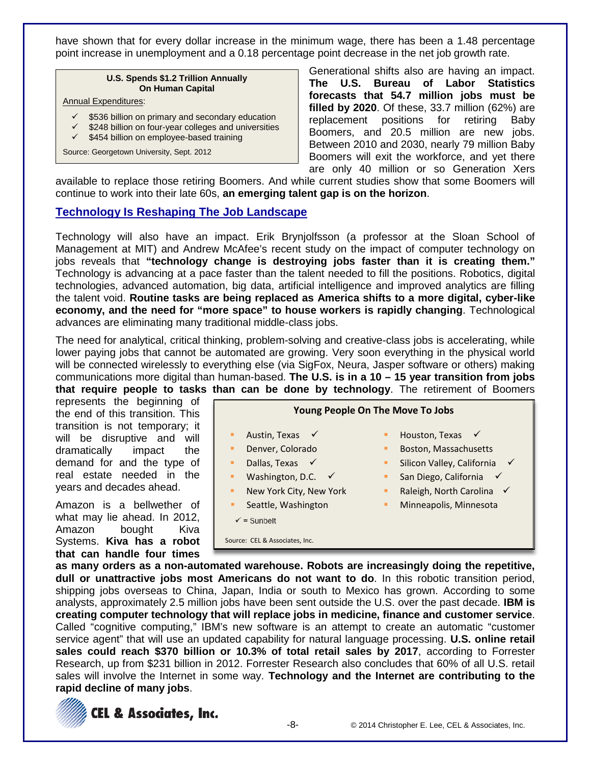have shown that for every dollar increase in the minimum wage, there has been a 1.48 percentage point increase in unemployment and a 0.18 percentage point decrease in the net job growth rate.

#### **U.S. Spends \$1.2 Trillion Annually On Human Capital**

#### Annual Expenditures:

- \$536 billion on primary and secondary education
- \$248 billion on four-year colleges and universities
- $\checkmark$  \$454 billion on employee-based training

Source: Georgetown University, Sept. 2012

Generational shifts also are having an impact. **The U.S. Bureau of Labor Statistics forecasts that 54.7 million jobs must be filled by 2020**. Of these, 33.7 million (62%) are replacement positions for retiring Baby Boomers, and 20.5 million are new jobs. Between 2010 and 2030, nearly 79 million Baby Boomers will exit the workforce, and yet there are only 40 million or so Generation Xers

available to replace those retiring Boomers. And while current studies show that some Boomers will continue to work into their late 60s, **an emerging talent gap is on the horizon**.

### **Technology Is Reshaping The Job Landscape**

Technology will also have an impact. Erik Brynjolfsson (a professor at the Sloan School of Management at MIT) and Andrew McAfee's recent study on the impact of computer technology on jobs reveals that **"technology change is destroying jobs faster than it is creating them."** Technology is advancing at a pace faster than the talent needed to fill the positions. Robotics, digital technologies, advanced automation, big data, artificial intelligence and improved analytics are filling the talent void. **Routine tasks are being replaced as America shifts to a more digital, cyber-like economy, and the need for "more space" to house workers is rapidly changing**. Technological advances are eliminating many traditional middle-class jobs.

The need for analytical, critical thinking, problem-solving and creative-class jobs is accelerating, while lower paying jobs that cannot be automated are growing. Very soon everything in the physical world will be connected wirelessly to everything else (via SigFox, Neura, Jasper software or others) making communications more digital than human-based. **The U.S. is in a 10 – 15 year transition from jobs that require people to tasks than can be done by technology**. The retirement of Boomers

represents the beginning of the end of this transition. This transition is not temporary; it will be disruptive and will dramatically impact the demand for and the type of real estate needed in the years and decades ahead.

Amazon is a bellwether of what may lie ahead. In 2012, Amazon bought Kiva Systems. **Kiva has a robot that can handle four times** 



**as many orders as a non-automated warehouse. Robots are increasingly doing the repetitive, dull or unattractive jobs most Americans do not want to do**. In this robotic transition period, shipping jobs overseas to China, Japan, India or south to Mexico has grown. According to some analysts, approximately 2.5 million jobs have been sent outside the U.S. over the past decade. **IBM is creating computer technology that will replace jobs in medicine, finance and customer service**. Called "cognitive computing," IBM's new software is an attempt to create an automatic "customer service agent" that will use an updated capability for natural language processing. **U.S. online retail sales could reach \$370 billion or 10.3% of total retail sales by 2017**, according to Forrester Research, up from \$231 billion in 2012. Forrester Research also concludes that 60% of all U.S. retail sales will involve the Internet in some way. **Technology and the Internet are contributing to the rapid decline of many jobs**.

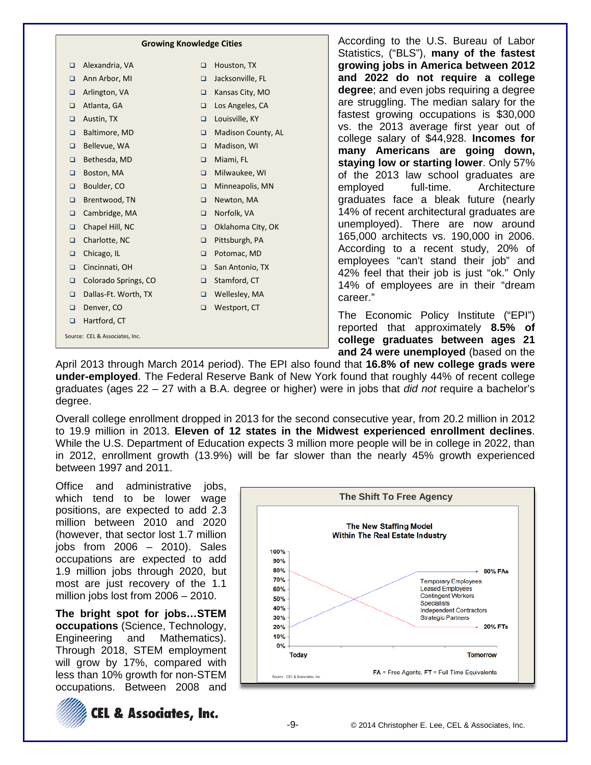|        | <b>Growing Knowledge Cities</b> |        |                    |
|--------|---------------------------------|--------|--------------------|
| o.     | Alexandria, VA                  | ❏      | Houston, TX        |
| $\Box$ | Ann Arbor, MI                   | ◻      | Jacksonville, FL   |
| $\Box$ | Arlington, VA                   | $\Box$ | Kansas City, MO    |
| o.     | Atlanta, GA                     | $\Box$ | Los Angeles, CA    |
| o.     | Austin, TX                      | $\Box$ | Louisville, KY     |
| ▫      | Baltimore, MD                   | □      | Madison County, AL |
| o      | Bellevue, WA                    | $\Box$ | Madison, WI        |
| ▫      | Bethesda, MD                    | ◻      | Miami, FL          |
| $\Box$ | Boston, MA                      | $\Box$ | Milwaukee, WI      |
| o      | Boulder, CO                     | $\Box$ | Minneapolis, MN    |
| o      | Brentwood, TN                   | $\Box$ | Newton, MA         |
| $\Box$ | Cambridge, MA                   | $\Box$ | Norfolk, VA        |
| $\Box$ | Chapel Hill, NC                 | □      | Oklahoma City, OK  |
| $\Box$ | Charlotte, NC                   | $\Box$ | Pittsburgh, PA     |
| ▫      | Chicago, IL                     | ◻      | Potomac, MD        |
| □      | Cincinnati, OH                  | $\Box$ | San Antonio, TX    |
| $\Box$ | Colorado Springs, CO            | $\Box$ | Stamford, CT       |
| $\Box$ | Dallas-Ft. Worth, TX            | $\Box$ | Wellesley, MA      |
| $\Box$ | Denver, CO                      | ◻      | Westport, CT       |
| $\Box$ | Hartford, CT                    |        |                    |
|        | Source: CEL & Associates, Inc.  |        |                    |

According to the U.S. Bureau of Labor Statistics, ("BLS"), **many of the fastest growing jobs in America between 2012 and 2022 do not require a college degree**; and even jobs requiring a degree are struggling. The median salary for the fastest growing occupations is \$30,000 vs. the 2013 average first year out of college salary of \$44,928. **Incomes for many Americans are going down, staying low or starting lower**. Only 57% of the 2013 law school graduates are employed full-time. Architecture graduates face a bleak future (nearly 14% of recent architectural graduates are unemployed). There are now around 165,000 architects vs. 190,000 in 2006. According to a recent study, 20% of employees "can't stand their job" and 42% feel that their job is just "ok." Only 14% of employees are in their "dream career."

The Economic Policy Institute ("EPI") reported that approximately **8.5% of college graduates between ages 21 and 24 were unemployed** (based on the

April 2013 through March 2014 period). The EPI also found that **16.8% of new college grads were under-employed**. The Federal Reserve Bank of New York found that roughly 44% of recent college graduates (ages 22 – 27 with a B.A. degree or higher) were in jobs that *did not* require a bachelor's degree.

Overall college enrollment dropped in 2013 for the second consecutive year, from 20.2 million in 2012 to 19.9 million in 2013. **Eleven of 12 states in the Midwest experienced enrollment declines**. While the U.S. Department of Education expects 3 million more people will be in college in 2022, than in 2012, enrollment growth (13.9%) will be far slower than the nearly 45% growth experienced between 1997 and 2011.

Office and administrative jobs, which tend to be lower wage positions, are expected to add 2.3 million between 2010 and 2020 (however, that sector lost 1.7 million jobs from 2006 – 2010). Sales occupations are expected to add 1.9 million jobs through 2020, but most are just recovery of the 1.1 million jobs lost from 2006 – 2010.

**The bright spot for jobs…STEM occupations** (Science, Technology, Engineering and Mathematics). Through 2018, STEM employment will grow by 17%, compared with less than 10% growth for non-STEM occupations. Between 2008 and



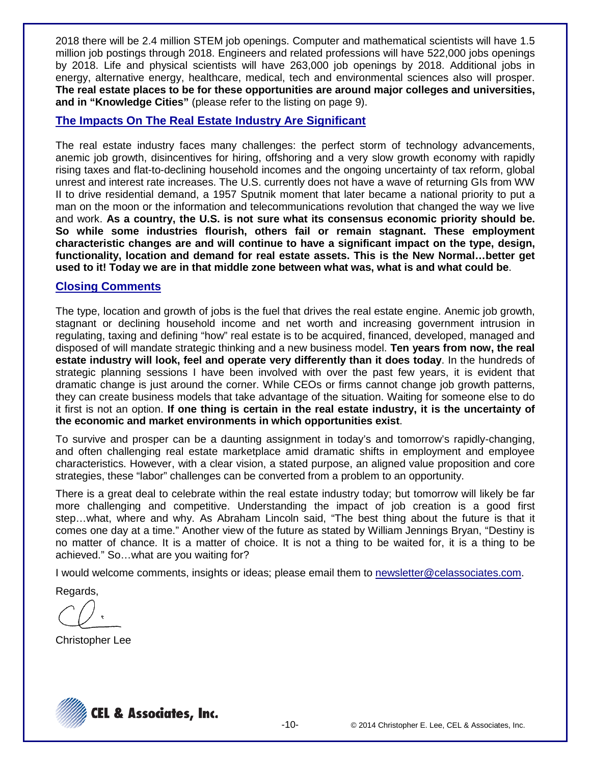2018 there will be 2.4 million STEM job openings. Computer and mathematical scientists will have 1.5 million job postings through 2018. Engineers and related professions will have 522,000 jobs openings by 2018. Life and physical scientists will have 263,000 job openings by 2018. Additional jobs in energy, alternative energy, healthcare, medical, tech and environmental sciences also will prosper. **The real estate places to be for these opportunities are around major colleges and universities, and in "Knowledge Cities"** (please refer to the listing on page 9).

### **The Impacts On The Real Estate Industry Are Significant**

The real estate industry faces many challenges: the perfect storm of technology advancements, anemic job growth, disincentives for hiring, offshoring and a very slow growth economy with rapidly rising taxes and flat-to-declining household incomes and the ongoing uncertainty of tax reform, global unrest and interest rate increases. The U.S. currently does not have a wave of returning GIs from WW II to drive residential demand, a 1957 Sputnik moment that later became a national priority to put a man on the moon or the information and telecommunications revolution that changed the way we live and work. **As a country, the U.S. is not sure what its consensus economic priority should be. So while some industries flourish, others fail or remain stagnant. These employment characteristic changes are and will continue to have a significant impact on the type, design, functionality, location and demand for real estate assets. This is the New Normal…better get used to it! Today we are in that middle zone between what was, what is and what could be**.

### **Closing Comments**

The type, location and growth of jobs is the fuel that drives the real estate engine. Anemic job growth, stagnant or declining household income and net worth and increasing government intrusion in regulating, taxing and defining "how" real estate is to be acquired, financed, developed, managed and disposed of will mandate strategic thinking and a new business model. **Ten years from now, the real estate industry will look, feel and operate very differently than it does today**. In the hundreds of strategic planning sessions I have been involved with over the past few years, it is evident that dramatic change is just around the corner. While CEOs or firms cannot change job growth patterns, they can create business models that take advantage of the situation. Waiting for someone else to do it first is not an option. **If one thing is certain in the real estate industry, it is the uncertainty of the economic and market environments in which opportunities exist**.

To survive and prosper can be a daunting assignment in today's and tomorrow's rapidly-changing, and often challenging real estate marketplace amid dramatic shifts in employment and employee characteristics. However, with a clear vision, a stated purpose, an aligned value proposition and core strategies, these "labor" challenges can be converted from a problem to an opportunity.

There is a great deal to celebrate within the real estate industry today; but tomorrow will likely be far more challenging and competitive. Understanding the impact of job creation is a good first step…what, where and why. As Abraham Lincoln said, "The best thing about the future is that it comes one day at a time." Another view of the future as stated by William Jennings Bryan, "Destiny is no matter of chance. It is a matter of choice. It is not a thing to be waited for, it is a thing to be achieved." So…what are you waiting for?

I would welcome comments, insights or ideas; please email them to newsletter@celassociates.com.

Regards,

Christopher Lee

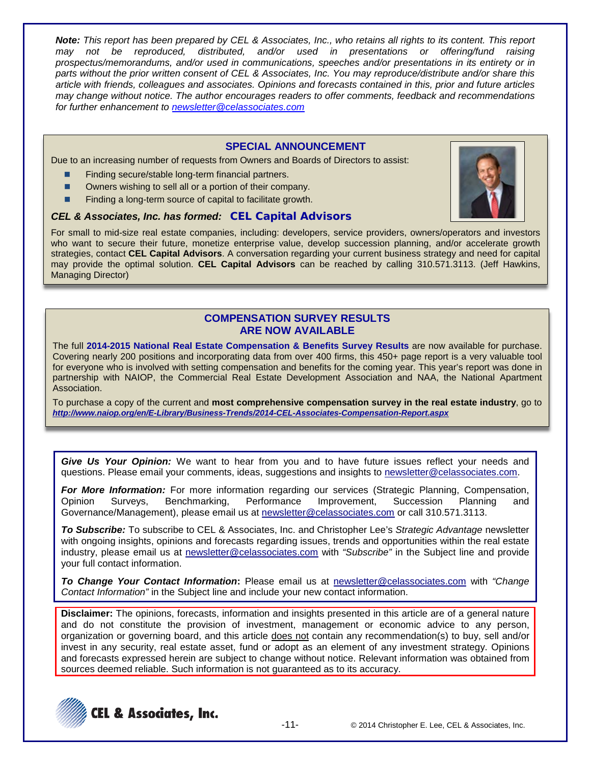*Note: This report has been prepared by CEL & Associates, Inc., who retains all rights to its content. This report may not be reproduced, distributed, and/or used in presentations or offering/fund raising prospectus/memorandums, and/or used in communications, speeches and/or presentations in its entirety or in parts without the prior written consent of CEL & Associates, Inc. You may reproduce/distribute and/or share this article with friends, colleagues and associates. Opinions and forecasts contained in this, prior and future articles may change without notice. The author encourages readers to offer comments, feedback and recommendations for further enhancement to [newsletter@celassociates.com](mailto:newsletter@celassociates.com)*

#### **SPECIAL ANNOUNCEMENT**

Due to an increasing number of requests from Owners and Boards of Directors to assist:

- Finding secure/stable long-term financial partners.
- Owners wishing to sell all or a portion of their company.
- Finding a long-term source of capital to facilitate growth.

#### *CEL & Associates, Inc. has formed:* **CEL Capital Advisors**

For small to mid-size real estate companies, including: developers, service providers, owners/operators and investors who want to secure their future, monetize enterprise value, develop succession planning, and/or accelerate growth strategies, contact **CEL Capital Advisors**. A conversation regarding your current business strategy and need for capital may provide the optimal solution. **CEL Capital Advisors** can be reached by calling 310.571.3113. (Jeff Hawkins, Managing Director)

#### **COMPENSATION SURVEY RESULTS ARE NOW AVAILABLE**

The full **2014-2015 National Real Estate Compensation & Benefits Survey Results** are now available for purchase. Covering nearly 200 positions and incorporating data from over 400 firms, this 450+ page report is a very valuable tool for everyone who is involved with setting compensation and benefits for the coming year. This year's report was done in partnership with NAIOP, the Commercial Real Estate Development Association and NAA, the National Apartment Association.

To purchase a copy of the current and **most comprehensive compensation survey in the real estate industry**, go to *<http://www.naiop.org/en/E-Library/Business-Trends/2014-CEL-Associates-Compensation-Report.aspx>*

*Give Us Your Opinion:* We want to hear from you and to have future issues reflect your needs and questions. Please email your comments, ideas, suggestions and insights to newsletter@celassociates.com.

*For More Information:* For more information regarding our services (Strategic Planning, Compensation, Opinion Surveys, Benchmarking, Performance Improvement, Succession Planning and Governance/Management), please email us at newsletter@celassociates.com or call 310.571.3113.

*To Subscribe:* To subscribe to CEL & Associates, Inc. and Christopher Lee's *Strategic Advantage* newsletter with ongoing insights, opinions and forecasts regarding issues, trends and opportunities within the real estate industry, please email us at newsletter@celassociates.com with *"Subscribe"* in the Subject line and provide your full contact information.

*To Change Your Contact Information***:** Please email us at newsletter@celassociates.com with *"Change Contact Information"* in the Subject line and include your new contact information.

**Disclaimer:** The opinions, forecasts, information and insights presented in this article are of a general nature and do not constitute the provision of investment, management or economic advice to any person, organization or governing board, and this article does not contain any recommendation(s) to buy, sell and/or invest in any security, real estate asset, fund or adopt as an element of any investment strategy. Opinions and forecasts expressed herein are subject to change without notice. Relevant information was obtained from sources deemed reliable. Such information is not guaranteed as to its accuracy.